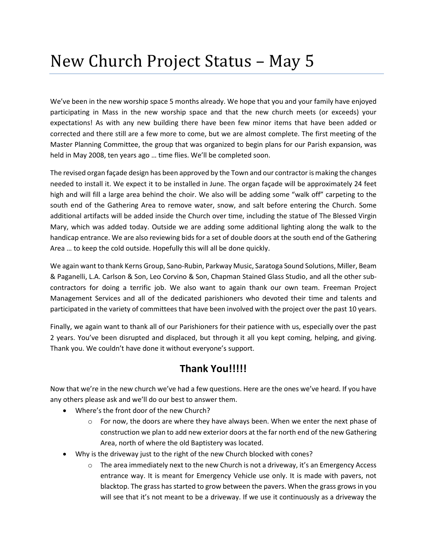## New Church Project Status – May 5

We've been in the new worship space 5 months already. We hope that you and your family have enjoyed participating in Mass in the new worship space and that the new church meets (or exceeds) your expectations! As with any new building there have been few minor items that have been added or corrected and there still are a few more to come, but we are almost complete. The first meeting of the Master Planning Committee, the group that was organized to begin plans for our Parish expansion, was held in May 2008, ten years ago … time flies. We'll be completed soon.

The revised organ façade design has been approved by the Town and our contractor is making the changes needed to install it. We expect it to be installed in June. The organ façade will be approximately 24 feet high and will fill a large area behind the choir. We also will be adding some "walk off" carpeting to the south end of the Gathering Area to remove water, snow, and salt before entering the Church. Some additional artifacts will be added inside the Church over time, including the statue of The Blessed Virgin Mary, which was added today. Outside we are adding some additional lighting along the walk to the handicap entrance. We are also reviewing bids for a set of double doors at the south end of the Gathering Area … to keep the cold outside. Hopefully this will all be done quickly.

We again want to thank Kerns Group, Sano-Rubin, Parkway Music, Saratoga Sound Solutions, Miller, Beam & Paganelli, L.A. Carlson & Son, Leo Corvino & Son, Chapman Stained Glass Studio, and all the other subcontractors for doing a terrific job. We also want to again thank our own team. Freeman Project Management Services and all of the dedicated parishioners who devoted their time and talents and participated in the variety of committees that have been involved with the project over the past 10 years.

Finally, we again want to thank all of our Parishioners for their patience with us, especially over the past 2 years. You've been disrupted and displaced, but through it all you kept coming, helping, and giving. Thank you. We couldn't have done it without everyone's support.

## **Thank You!!!!!**

Now that we're in the new church we've had a few questions. Here are the ones we've heard. If you have any others please ask and we'll do our best to answer them.

- Where's the front door of the new Church?
	- $\circ$  For now, the doors are where they have always been. When we enter the next phase of construction we plan to add new exterior doors at the far north end of the new Gathering Area, north of where the old Baptistery was located.
- Why is the driveway just to the right of the new Church blocked with cones?
	- The area immediately next to the new Church is not a driveway, it's an Emergency Access entrance way. It is meant for Emergency Vehicle use only. It is made with pavers, not blacktop. The grass has started to grow between the pavers. When the grass grows in you will see that it's not meant to be a driveway. If we use it continuously as a driveway the